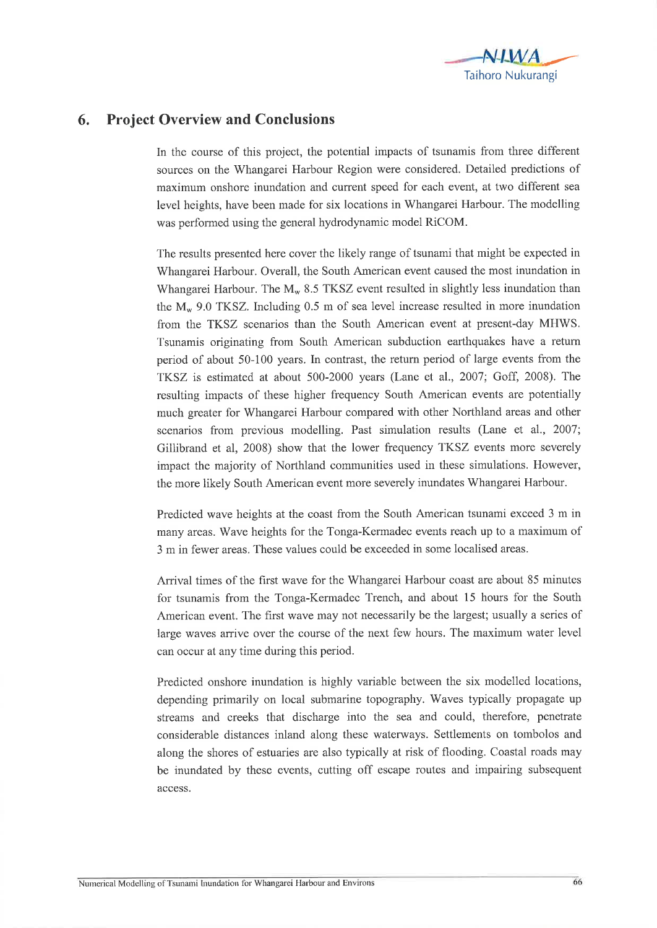

## 6. Project Overview and Conclusions

In the course of this project, the potential impacts of tsunamis from three different sources on the V/hangarei Harbour Region were considered. Detailed predictions of maximum onshore inundation and current speed for each event, at two different sea level heights, have been made for six locations in Whangarei Harbour. The modelling was performed using the general hydrodynamic model RiCOM.

The results presented here cover the likely range of tsunami that might be expected in Whangarei Harbour. Overall, the South American event caused the most inundation in Whangarei Harbour. The  $M_w$  8.5 TKSZ event resulted in slightly less inundation than the  $M_{\rm w}$  9.0 TKSZ. Including 0.5 m of sea level increase resulted in more inundation from the TKSZ scenarios than the South American event at present-day MHWS. Tsunamis originating from South American subduction earthquakes have a retum period of about 50-100 years. In contrast, the return period of large events from the TKSZ is estimated at about 500-2000 years (Lane et al., 2007; Goff, 2008). The resulting impacts of these higher frequency South American events are potentially much greater for Whangarei Harbour compared with other Northland areas and other scenarios from previous modelling. Past simulation results (Lane et al., 2007; Gillibrand et al, 2008) show that the lower frequency TKSZ events more severely impact the majority of Northland communities used in these simulations. However, the more likely South American event more severely inundates Whangarei Harbour.

Predicted wave heights at the coast from the South American tsunami exceed 3 m in many areas. Wave heights for the Tonga-Kermadec events reach up to a maximum of 3 m in fewer areas. These values could be exceeded in some localised areas.

Arrival times of the first wave for the Whangarei Harbour coast are about 85 minutes for tsunamis from the Tonga-Kermadec Trench, and about 15 hours for the South American event. The first wave may not necessarily be the largest; usually a series of large waves arrive over the course of the next few hours. The maximum water level can occur af any time during this period.

Predicted onshore inundation is highly variable between the six modelled locations, depending primarily on local submarine topography. Waves typically propagate up streams and creeks that discharge into the sea and could, therefore, penetrate considerable distances inland along these waterways. Settlements on tombolos and along the shores of estuaries are also typically at risk of flooding. Coastal roads may be inundated by these events, cutting off escape routes and impairing subsequent access.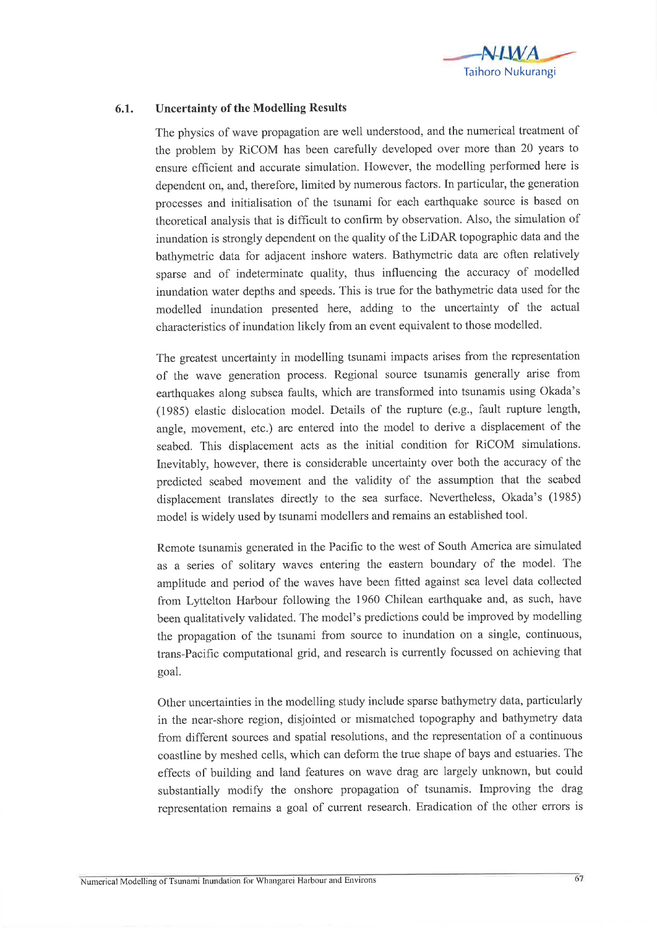

## 6.1. Uncertainty of the Modelling Results

The physics of wave propagation are well understood, and the numerical treatment of the problem by RiCOM has been carefully developed over more than 20 years to ensure efficient and accurate simulation. However, the modelling performed here is dependent on, and, therefore, limited by numerous factors. In parlicular, the generation processes and initialisation of the tsunami for each earthquake source is based on theoretical analysis that is difhcult to confitm by observation. Also, the simulation of inundation is strongly dependent on the quality of the LiDAR topographic data and the bathymetric data for adjacent inshore waters. Bathymetric data are often relatively sparse and of indeterminate quality, thus influencing the accuracy of modelled inundation water depths and speeds. This is true for the bathymetric data used for the modelled inundation presented here, adding to the uncertainty of the actual characteristics of inundation likely from an event equivalent to those modelled.

The greatest uncertainty in modelling tsunami impacts arises from the representation of the wave generation process. Regional source tsunamis generally arise from earthquakes along subsea faults, which are transformed into tsunamis using Okada's (1935) elastic dislocation model. Details of the rupture (e.g., fault rupture length, angle, movement, etc.) are entered into the model to derive a displacement of the seabed. This displacement acts as the initial condition for RiCOM simulations. Inevitably, however, there is considerable uncertainty over both the accuracy of the predicted seabed movement and the validity of the assumption that the seabed displacement translates directly to the sea surface. Nevertheless, Okada's (1985) model is widely used by tsunami modellers and remains an established tool.

Remote tsunamis generated in the Pacific to the west of South America are simulated as a series of solitary waves entering the eastern boundary of the model. The amplitude and period of the waves have been fitted against sea level data collected from Lyttelton Harbour following the 1960 Chilean earthquake and, as such, have been qualitatively validated. The model's predictions could be improved by modelling the propagation of the tsunami from source to inundation on a single, continuous, trans-Pacific computational grid, and research is currently focussed on achieving that goal.

Other uncertainties in the modelling study include sparse bathymetry data, particularly in the near-shore region, disjointed or mismatched topography and bathymetry data from different sources and spatial resolutions, and the representation of a continuous coastline by meshed cells, which can deform the true shape of bays and estuaries. The effects of building and land features on wave drag are largely unknown, but could substantially modify the onshore propagation of tsunamis. Improving the drag representation remains a goal of current research. Eradication of the other errors is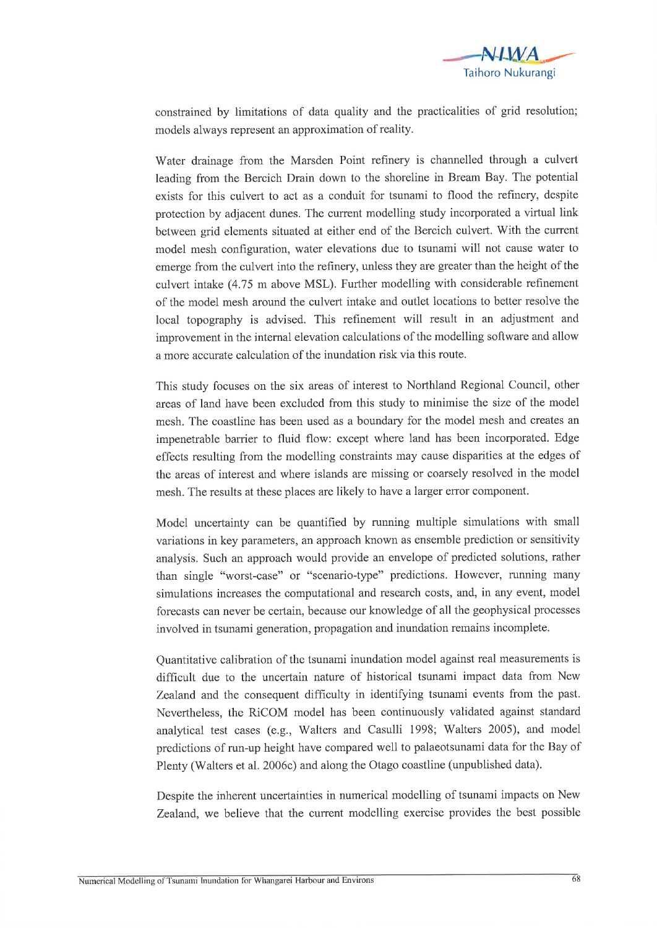

constrained by limitations of data quality and the practicalities of grid resolution; models always represent an approximation of reality.

Water drainage from the Marsden Point refinery is channelled through a culvert leading from the Bercich Drain down to the shoreline in Bream Bay. The potential exists for this culvert to act as a conduit for tsunami to flood the refinery, despite protection by adjacent dunes. The curent modelling study incorporated a virtual link between grid elements situated at either end of the Bercich culverl. With the current model mesh configuration, water elevations due to tsunami will not cause water to emerge from the culvert into the refinery, unless they are greater than the height of the culvert intake (4.75 m above MSL). Further modelling with considerable refinement of the model mesh around the culvert intake and outlet locations to better resolve the local topography is advised. This refinement will result in an adjustment and improvement in the internal elevation calculations of the modelling software and allow a more accurate calculation of the inundation risk via this route.

This study focuses on the six areas of interest to Northland Regional Council, other areas of land have been excluded from this study to minimise the size of the model mesh. The coastline has been used as a boundary for the model mesh and creates an impenetrable barrier to fluid flow: except where land has been incorporated. Edge effects resulting from the modelling constraints may cause disparities at the edges of the areas of interest and where íslands are missing or coarsely resolved in the model mesh. The results at these places are likely to have a larger error component.

Model uncertainty can be quantified by running multiple simulations with small variations in key parameters, an approach known as ensemble prediction or sensitivity analysis. Such an approach would provide an envelope of predicted solutions, rather than single "worst-case" or "scenario-type" predictions. However, running many simulations increases the computational and research costs, and, in any event, model forecasts can never be certain, because our knowledge of all the geophysical processes involved in tsunami generation, propagation and inundation remains incomplete.

Quantitative calibration of the tsunami inundation model against real measurements is difficult due to the uncertain nature of historical tsunami impact data from New Zealand and the consequent difficulty in identifying tsunami events from the past. Nevertheless, the RiCOM model has been continuously validated against standard analytical test cases (e.g., Walters and Casulli 1998; Walters 2005), and model predictions of run-up height have compared well to palaeotsunami data for the Bay of Plenty (Walters et al. 2006c) and along the Otago coastline (unpublished data).

Despite the inherent uncertainties in numerical modelling of tsunami impacts on New Zealand, we believe that the current modelling exercise provides the best possible